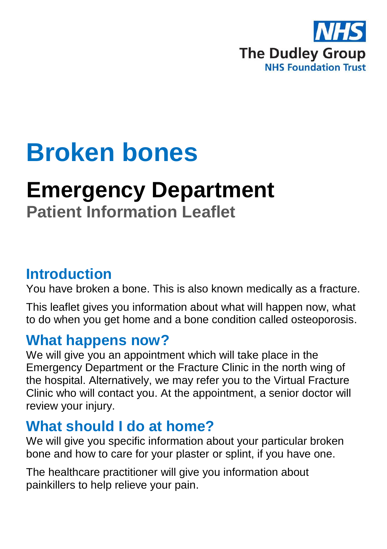

# **Broken bones**

# **Emergency Department**

# **Patient Information Leaflet**

#### **Introduction**

You have broken a bone. This is also known medically as a fracture.

This leaflet gives you information about what will happen now, what to do when you get home and a bone condition called osteoporosis.

#### **What happens now?**

We will give you an appointment which will take place in the Emergency Department or the Fracture Clinic in the north wing of the hospital. Alternatively, we may refer you to the Virtual Fracture Clinic who will contact you. At the appointment, a senior doctor will review your injury.

## **What should I do at home?**

We will give you specific information about your particular broken bone and how to care for your plaster or splint, if you have one.

The healthcare practitioner will give you information about painkillers to help relieve your pain.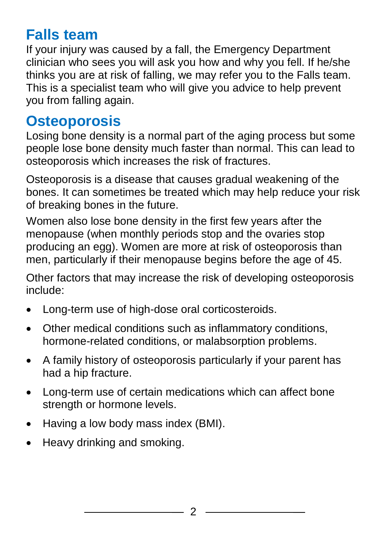## **Falls team**

If your injury was caused by a fall, the Emergency Department clinician who sees you will ask you how and why you fell. If he/she thinks you are at risk of falling, we may refer you to the Falls team. This is a specialist team who will give you advice to help prevent you from falling again.

#### **Osteoporosis**

Losing bone density is a normal part of the aging process but some people lose bone density much faster than normal. This can lead to osteoporosis which increases the risk of fractures.

Osteoporosis is a disease that causes gradual weakening of the bones. It can sometimes be treated which may help reduce your risk of breaking bones in the future.

Women also lose bone density in the first few years after the menopause (when monthly periods stop and the ovaries stop producing an egg). Women are more at risk of osteoporosis than men, particularly if their menopause begins before the age of 45.

Other factors that may increase the risk of developing osteoporosis include:

- Long-term use of high-dose oral corticosteroids.
- Other medical conditions such as inflammatory conditions, hormone-related conditions, or malabsorption problems.
- A family history of osteoporosis particularly if your parent has had a hip fracture.
- Long-term use of certain medications which can affect bone strength or hormone levels.
- Having a low body mass index (BMI).
- Heavy drinking and smoking.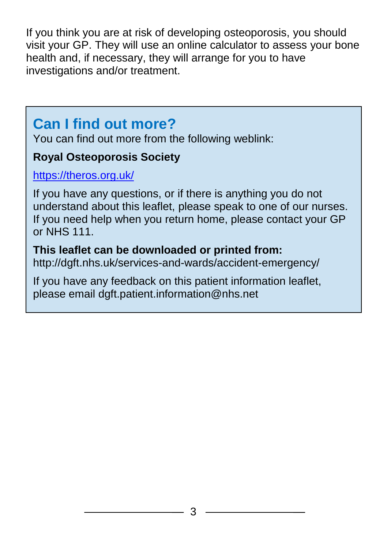If you think you are at risk of developing osteoporosis, you should visit your GP. They will use an online calculator to assess your bone health and, if necessary, they will arrange for you to have investigations and/or treatment.

### **Can I find out more?**

You can find out more from the following weblink:

#### **Royal Osteoporosis Society**

#### <https://theros.org.uk/>

If you have any questions, or if there is anything you do not understand about this leaflet, please speak to one of our nurses. If you need help when you return home, please contact your GP or NHS 111.

#### **This leaflet can be downloaded or printed from:**

http://dgft.nhs.uk/services-and-wards/accident-emergency/

If you have any feedback on this patient information leaflet, please email dgft.patient.information@nhs.net